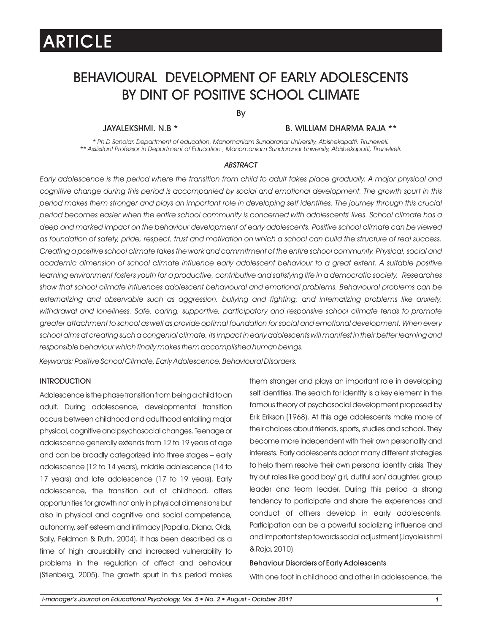### BEHAVIOURAL DEVELOPMENT OF EARLY ADOLESCENTS BY DINT OF POSITIVE SCHOOL CLIMATE

By

### JAYALEKSHMI. N.B \* B. WILLIAM DHARMA RAJA \*\*

*\* Ph.D Scholar, Department of education, Manomaniam Sundaranar University, Abishekapatti, Tirunelveli. \*\* Assisstant Professor in Department of Education , Manomaniam Sundaranar University, Abishekapatti, Tirunelveli.*

#### *ABSTRACT*

*Early adolescence is the period where the transition from child to adult takes place gradually. A major physical and*  cognitive change during this period is accompanied by social and emotional development. The growth spurt in this *period makes them stronger and plays an important role in developing self identities. The journey through this crucial period becomes easier when the entire school community is concerned with adolescents' lives. School climate has a deep and marked impact on the behaviour development of early adolescents. Positive school climate can be viewed as foundation of safety, pride, respect, trust and motivation on which a school can build the structure of real success. Creating a positive school climate takes the work and commitment of the entire school community. Physical, social and academic dimension of school climate influence early adolescent behaviour to a great extent. A suitable positive learning environment fosters youth for a productive, contributive and satisfying life in a democratic society. Researches show that school climate influences adolescent behavioural and emotional problems. Behavioural problems can be externalizing and observable such as aggression, bullying and fighting; and internalizing problems like anxiety, withdrawal and loneliness. Safe, caring, supportive, participatory and responsive school climate tends to promote greater attachment to school as well as provide optimal foundation for social and emotional development. When every*  school aims at creating such a congenial climate, its impact in early adolescents will manifest in their better learning and *responsible behaviour which finally makes them accomplished human beings.*

*Keywords: Positive School Climate, Early Adolescence, Behavioural Disorders.*

### **INTRODUCTION**

Adolescence is the phase transition from being a child to an adult. During adolescence, developmental transition occurs between childhood and adulthood entailing major physical, cognitive and psychosocial changes.Teenage or adolescence generally extends from 12 to 19 years of age and can be broadly categorized into three stages – early adolescence (12 to 14 years), middle adolescence (14 to 17 years) and late adolescence (17 to 19 years). Early adolescence, the transition out of childhood, offers opportunities for growth not only in physical dimensions but also in physical and cognitive and social competence, autonomy, self esteem and intimacy (Papalia, Diana, Olds, Sally, Feldman & Ruth, 2004). It has been described as a time of high arousability and increased vulnerability to problems in the regulation of affect and behaviour (Stienberg, 2005). The growth spurt in this period makes them stronger and plays an important role in developing self identities. The search for identity is a key element in the famous theory of psychosocial development proposed by Erik Erikson (1968). At this age adolescents make more of their choices about friends, sports, studies and school. They become more independent with their own personality and interests. Early adolescents adopt many different strategies to help them resolve their own personal identity crisis. They try out roles like good boy/ girl, dutiful son/ daughter, group leader and team leader. During this period a strong tendency to participate and share the experiences and conduct of others develop in early adolescents. Participation can be a powerful socializing influence and and important step towards social adjustment (Jayalekshmi &Raja,2010).

### Behaviour Disorders of Early Adolescents

With one foot in childhood and other in adolescence, the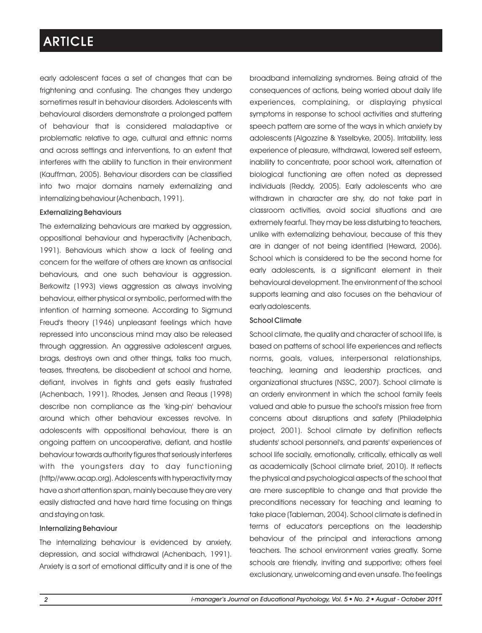early adolescent faces a set of changes that can be frightening and confusing. The changes they undergo sometimes result in behaviour disorders. Adolescents with behavioural disorders demonstrate a prolonged pattern of behaviour that is considered maladaptive or problematic relative to age, cultural and ethnic norms and across settings and interventions, to an extent that interferes with the ability to function in their environment (Kauffman, 2005). Behaviour disorders can be classified into two major domains namely externalizing and internalizing behaviour (Achenbach, 1991).

### Externalizing Behaviours

The externalizing behaviours are marked by aggression, oppositional behaviour and hyperactivity (Achenbach, 1991). Behaviours which show a lack of feeling and concern for the welfare of others are known as antisocial behaviours, and one such behaviour is aggression. Berkowitz (1993) views aggression as always involving behaviour, either physical or symbolic, performed with the intention of harming someone. According to Sigmund Freud's theory (1946) unpleasant feelings which have repressed into unconscious mind may also be released through aggression. An aggressive adolescent argues, brags, destroys own and other things, talks too much, teases, threatens, be disobedient at school and home, defiant, involves in fights and gets easily frustrated (Achenbach, 1991). Rhodes, Jensen and Reaus (1998) describe non compliance as the 'king-pin' behaviour around which other behaviour excesses revolve. In adolescents with oppositional behaviour, there is an ongoing pattern on uncooperative, defiant, and hostile behaviour towards authority figures that seriously interferes with the youngsters day to day functioning (http//www.acap.org). Adolescents with hyperactivity may have a short attention span, mainly because they are very easily distracted and have hard time focusing on things and staying on task.

#### Internalizing Behaviour

The internalizing behaviour is evidenced by anxiety, depression, and social withdrawal (Achenbach, 1991). Anxiety is a sort of emotional difficulty and it is one of the broadband internalizing syndromes. Being afraid of the consequences of actions, being worried about daily life experiences, complaining, or displaying physical symptoms in response to school activities and stuttering speech pattern are some of the ways in which anxiety by adolescents (Algozzine & Ysselbyke, 2005). Irritability, less experience of pleasure, withdrawal, lowered self esteem, inability to concentrate, poor school work, alternation of biological functioning are often noted as depressed individuals (Reddy, 2005). Early adolescents who are withdrawn in character are shy, do not take part in classroom activities, avoid social situations and are extremely fearful. They may be less disturbing to teachers, unlike with externalizing behaviour, because of this they are in danger of not being identified (Heward, 2006). School which is considered to be the second home for early adolescents, is a significant element in their behavioural development. The environment of the school supports learning and also focuses on the behaviour of early adolescents.

### School Climate

School climate, the quality and character of school life, is based on patterns of school life experiences and reflects norms, goals, values, interpersonal relationships, teaching, learning and leadership practices, and organizational structures (NSSC, 2007). School climate is an orderly environment in which the school family feels valued and able to pursue the school's mission free from concerns about disruptions and safety (Philadelphia project, 2001). School climate by definition reflects students' school personnel's, and parents' experiences of school life socially, emotionally, critically, ethically as well as academically (School climate brief, 2010). It reflects the physical and psychological aspects of the school that are mere susceptible to change and that provide the preconditions necessary for teaching and learning to take place (Tableman, 2004). School climate is defined in terms of educator's perceptions on the leadership behaviour of the principal and interactions among teachers. The school environment varies greatly. Some schools are friendly, inviting and supportive; others feel exclusionary, unwelcoming and even unsafe. The feelings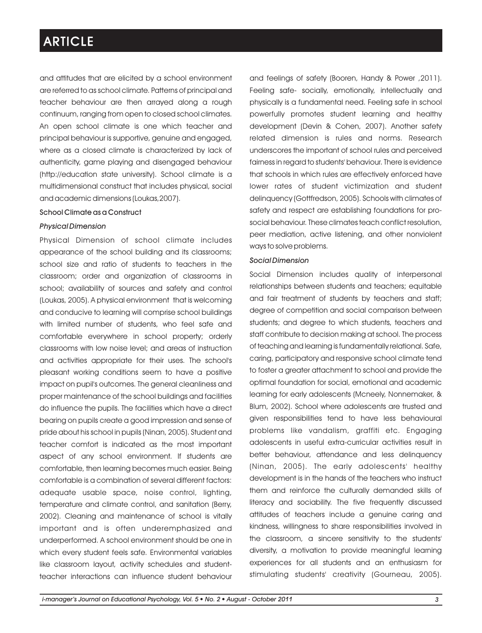and attitudes that are elicited by a school environment are referred to as school climate. Patterns of principal and teacher behaviour are then arrayed along a rough continuum, ranging from open to closed school climates. An open school climate is one which teacher and principal behaviour is supportive, genuine and engaged, where as a closed climate is characterized by lack of authenticity, game playing and disengaged behaviour (http://education state university). School climate is a multidimensional construct that includes physical, social and academic dimensions (Loukas,2007).

### School Climate as a Construct

### *Physical Dimension*

Physical Dimension of school climate includes appearance of the school building and its classrooms; school size and ratio of students to teachers in the classroom; order and organization of classrooms in school; availability of sources and safety and control (Loukas, 2005). A physical environment that is welcoming and conducive to learning will comprise school buildings with limited number of students, who feel safe and comfortable everywhere in school property; orderly classrooms with low noise level; and areas of instruction and activities appropriate for their uses. The school's pleasant working conditions seem to have a positive impact on pupil's outcomes. The general cleanliness and proper maintenance of the school buildings and facilities do influence the pupils. The facilities which have a direct bearing on pupils create a good impression and sense of pride about his school in pupils (Ninan, 2005). Student and teacher comfort is indicated as the most important aspect of any school environment. If students are comfortable, then learning becomes much easier. Being comfortable is a combination of several different factors: adequate usable space, noise control, lighting, temperature and climate control, and sanitation (Berry, 2002). Cleaning and maintenance of school is vitally important and is often underemphasized and underperformed. A school environment should be one in which every student feels safe. Environmental variables like classroom layout, activity schedules and studentteacher interactions can influence student behaviour

and feelings of safety (Booren, Handy & Power ,2011). Feeling safe- socially, emotionally, intellectually and physically is a fundamental need. Feeling safe in school powerfully promotes student learning and healthy development (Devin & Cohen, 2007). Another safety related dimension is rules and norms. Research underscores the important of school rules and perceived fairness in regard to students' behaviour. There is evidence that schools in which rules are effectively enforced have lower rates of student victimization and student delinquency (Gottfredson, 2005). Schools with climates of safety and respect are establishing foundations for prosocial behaviour. These climates teach conflict resolution, peer mediation, active listening, and other nonviolent ways to solve problems.

#### *Social Dimension*

Social Dimension includes quality of interpersonal relationships between students and teachers; equitable and fair treatment of students by teachers and staff; degree of competition and social comparison between students; and degree to which students, teachers and staff contribute to decision making at school. The process of teaching and learning is fundamentally relational. Safe, caring, participatory and responsive school climate tend to foster a greater attachment to school and provide the optimal foundation for social, emotional and academic learning for early adolescents (Mcneely, Nonnemaker, & Blum, 2002). School where adolescents are trusted and given responsibilities tend to have less behavioural problems like vandalism, graffiti etc. Engaging adolescents in useful extra-curricular activities result in better behaviour, attendance and less delinquency (Ninan, 2005). The early adolescents' healthy development is in the hands of the teachers who instruct them and reinforce the culturally demanded skills of literacy and sociability. The five frequently discussed attitudes of teachers include a genuine caring and kindness, willingness to share responsibilities involved in the classroom, a sincere sensitivity to the students' diversity, a motivation to provide meaningful learning experiences for all students and an enthusiasm for stimulating students' creativity (Gourneau, 2005).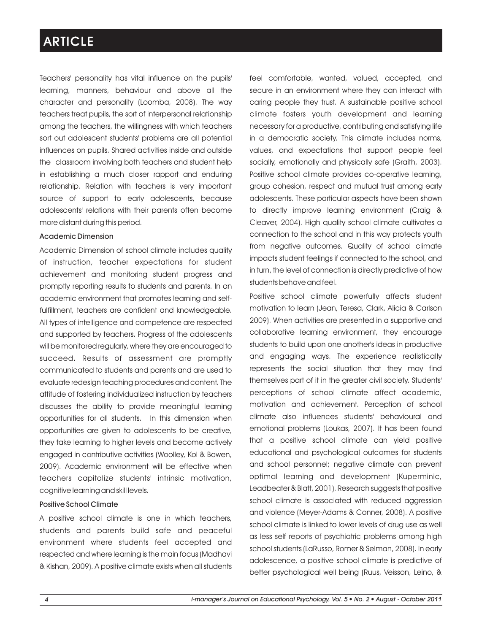Teachers' personality has vital influence on the pupils' learning, manners, behaviour and above all the character and personality (Loomba, 2008). The way teachers treat pupils, the sort of interpersonal relationship among the teachers, the willingness with which teachers sort out adolescent students' problems are all potential influences on pupils. Shared activities inside and outside the classroom involving both teachers and student help in establishing a much closer rapport and enduring relationship. Relation with teachers is very important source of support to early adolescents, because adolescents' relations with their parents often become more distant during this period.

### Academic Dimension

Academic Dimension of school climate includes quality of instruction, teacher expectations for student achievement and monitoring student progress and promptly reporting results to students and parents. In an academic environment that promotes learning and selffulfillment, teachers are confident and knowledgeable. All types of intelligence and competence are respected and supported by teachers. Progress of the adolescents will be monitored regularly, where they are encouraged to succeed. Results of assessment are promptly communicated to students and parents and are used to evaluate redesign teaching procedures and content. The attitude of fostering individualized instruction by teachers discusses the ability to provide meaningful learning opportunities for all students. In this dimension when opportunities are given to adolescents to be creative, they take learning to higher levels and become actively engaged in contributive activities (Woolley, Kol & Bowen, 2009). Academic environment will be effective when teachers capitalize students' intrinsic motivation, cognitive learning and skill levels.

#### Positive School Climate

A positive school climate is one in which teachers, students and parents build safe and peaceful environment where students feel accepted and respected and where learning is the main focus (Madhavi & Kishan, 2009). A positive climate exists when all students feel comfortable, wanted, valued, accepted, and secure in an environment where they can interact with caring people they trust. A sustainable positive school climate fosters youth development and learning necessary for a productive, contributing and satisfying life in a democratic society. This climate includes norms, values, and expectations that support people feel socially, emotionally and physically safe (Graith, 2003). Positive school climate provides co-operative learning, group cohesion, respect and mutual trust among early adolescents. These particular aspects have been shown to directly improve learning environment (Craig & Cleaver, 2004). High quality school climate cultivates a connection to the school and in this way protects youth from negative outcomes. Quality of school climate impacts student feelings if connected to the school, and in turn, the level of connection is directly predictive of how students behave and feel.

Positive school climate powerfully affects student motivation to learn (Jean, Teresa, Clark, Alicia & Carlson 2009). When activities are presented in a supportive and collaborative learning environment, they encourage students to build upon one another's ideas in productive and engaging ways. The experience realistically represents the social situation that they may find themselves part of it in the greater civil society. Students' perceptions of school climate affect academic, motivation and achievement. Perception of school climate also influences students' behavioural and emotional problems (Loukas, 2007). It has been found that a positive school climate can yield positive educational and psychological outcomes for students and school personnel; negative climate can prevent optimal learning and development (Kuperminic, Leadbeater & Blatt, 2001). Research suggests that positive school climate is associated with reduced aggression and violence (Meyer-Adams & Conner, 2008). A positive school climate is linked to lower levels of drug use as well as less self reports of psychiatric problems among high school students (LaRusso, Romer & Selman, 2008). In early adolescence, a positive school climate is predictive of better psychological well being (Ruus, Veisson, Leino, &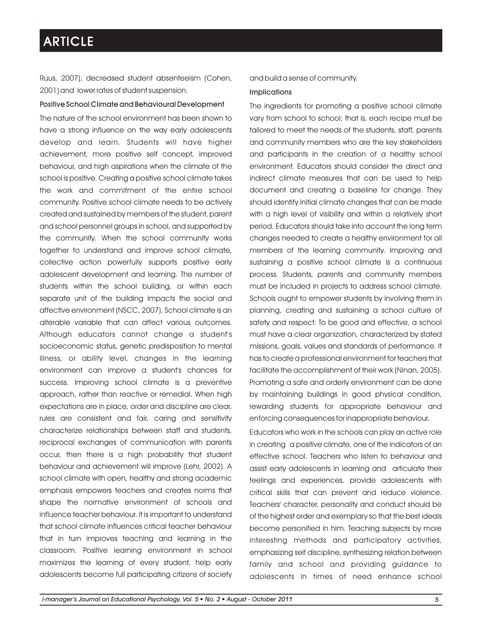Ruus, 2007), decreased student absenteeism (Cohen, 2001) and lower rates of student suspension.

### Positive School Climate and Behavioural Development

The nature of the school environment has been shown to have a strong influence on the way early adolescents develop and learn. Students will have higher achievement, more positive self concept, improved behaviour, and high aspirations when the climate of the school is positive. Creating a positive school climate takes the work and commitment of the entire school community. Positive school climate needs to be actively created and sustained by members of the student, parent and school personnel groups in school, and supported by the community. When the school community works together to understand and improve school climate, collective action powerfully supports positive early adolescent development and learning. The number of students within the school building, or within each separate unit of the building impacts the social and affective environment (NSCC, 2007). School climate is an alterable variable that can affect various outcomes. Although educators cannot change a student's socioeconomic status, genetic predisposition to mental illness, or ability level, changes in the learning environment can improve a student's chances for success. Improving school climate is a preventive approach, rather than reactive or remedial. When high expectations are in place, order and discipline are clear, rules are consistent and fair, caring and sensitivity characterize relationships between staff and students, reciprocal exchanges of communication with parents occur, then there is a high probability that student behaviour and achievement will improve (Lehr, 2002). A school climate with open, healthy and strong academic emphasis empowers teachers and creates norms that shape the normative environment of schools and influence teacher behaviour. It is important to understand that school climate influences critical teacher behaviour that in turn improves teaching and learning in the classroom. Positive learning environment in school maximizes the learning of every student, help early adolescents become full participating citizens of society

#### and build a sense of community.

#### Implications

The ingredients for promoting a positive school climate vary from school to school; that is, each recipe must be tailored to meet the needs of the students, staff, parents and community members who are the key stakeholders and participants in the creation of a healthy school environment. Educators should consider the direct and indirect climate measures that can be used to help document and creating a baseline for change. They should identify initial climate changes that can be made with a high level of visibility and within a relatively short period. Educators should take into account the long term changes needed to create a healthy environment for all members of the learning community. Improving and sustaining a positive school climate is a continuous process. Students, parents and community members must be included in projects to address school climate. Schools ought to empower students by involving them in planning, creating and sustaining a school culture of safety and respect. To be good and effective, a school must have a clear organization, characterized by stated missions, goals, values and standards of performance. It has to create a professional environment for teachers that facilitate the accomplishment of their work (Ninan, 2005). Promoting a safe and orderly environment can be done by maintaining buildings in good physical condition, rewarding students for appropriate behaviour and enforcing consequences for inappropriate behaviour.

Educators who work in the schools can play an active role in creating a positive climate, one of the indicators of an effective school. Teachers who listen to behaviour and assist early adolescents in learning and articulate their feelings and experiences, provide adolescents with critical skills that can prevent and reduce violence. Teachers' character, personality and conduct should be of the highest order and exemplary so that the best ideals become personified in him. Teaching subjects by more interesting methods and participatory activities, emphasizing self discipline, synthesizing relation between family and school and providing guidance to adolescents in times of need enhance school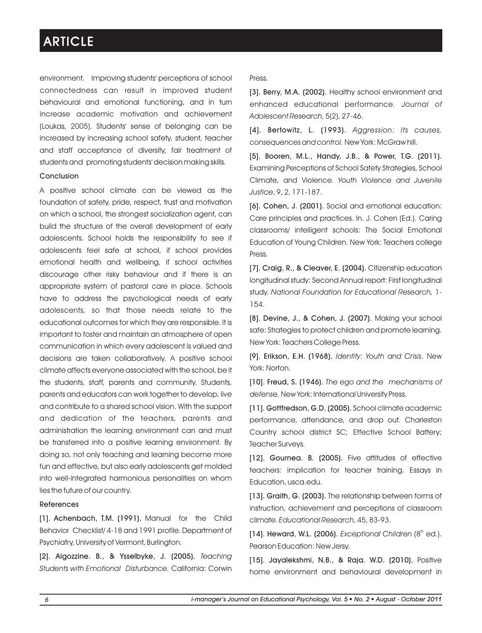environment. Improving students' perceptions of school connectedness can result in improved student behavioural and emotional functioning, and in turn increase academic motivation and achievement (Loukas, 2005). Students' sense of belonging can be increased by increasing school safety, student, teacher and staff acceptance of diversity, fair treatment of students and promoting students' decision making skills.

### Conclusion

A positive school climate can be viewed as the foundation of safety, pride, respect, trust and motivation on which a school, the strongest socialization agent, can build the structure of the overall development of early adolescents. School holds the responsibility to see if adolescents feel safe at school, if school provides emotional health and wellbeing, if school activities discourage other risky behaviour and if there is an appropriate system of pastoral care in place. Schools have to address the psychological needs of early adolescents, so that those needs relate to the educational outcomes for which they are responsible. It is important to foster and maintain an atmosphere of open communication in which every adolescent is valued and decisions are taken collaboratively. A positive school climate affects everyone associated with the school, be it the students, staff, parents and community. Students, parents and educators can work together to develop, live and contribute to a shared school vision. With the support and dedication of the teachers, parents and administration the learning environment can and must be transferred into a positive learning environment. By doing so, not only teaching and learning become more fun and effective, but also early adolescents get molded into well-integrated harmonious personalities on whom lies the future of our country.

### References

[1]. Achenbach, T.M. (1991). Manual for the Child Behavior Checklist/ 4-18 and 1991 profile. Department of Psychiatry, University of Vermont, Burlington.

[2]. Algozzine. B., & Ysselbyke, J. (2005). *Teaching Students with Emotional Disturbance.* California: Corwin

#### Press.

[3]. Berry, M.A. (2002). Healthy school environment and enhanced educational performance*. Journal of Adolescent Research,* 5(2), 27-46.

[4]. Bertowitz, L. (1993). *Aggression: Its causes, consequences and control.* New York: McGraw hill.

[5]. Booren, M.L., Handy, J.B., & Power, T.G. (2011). Examining Perceptions of School Safety Strategies, School Climate, and Violence. *Youth Violence and Juvenile Justice*, 9, 2, 171-187.

[6]. Cohen, J. (2001). Social and emotional education: Care principles and practices. In. J. Cohen (Ed.). Caring classrooms/ intelligent schools: The Social Emotional Education of Young Children. New York: Teachers college Press.

[7]. Craig, R., & Cleaver, E. (2004). Citizenship education longitudinal study: Second Annual report: First longitudinal study. *National Foundation for Educational Research,* 1- 154.

[8]. Devine, J., & Cohen, J. (2007). Making your school safe: Strategies to protect children and promote learning. New York: Teachers College Press.

[9]. Erikson, E.H. (1968). *Identity: Youth and Crisis*. New York: Norton.

[10]. Freud, S. (1946). *The ego and the mechanisms of defense.* New York: International University Press.

[11]. Gottfredson, G.D. (2005). School climate academic performance, attendance, and drop out. Charleston Country school district SC; Effective School Battery; Teacher Surveys.

[12]. Gournea. B. (2005). Five attitudes of effective teachers: implication for teacher training. Essays in Education, usca.edu.

[13]. Graith, G. (2003). The relationship between forms of instruction, achievement and perceptions of classroom climate. *Educational Research*, 45, 83-93.

[14]. Heward, W.L. (2006). *Exceptional Children* (8<sup>th</sup> ed.). Pearson Education: New Jersy.

[15]. Jayalekshmi, N.B., & Raja. W.D. (2010). Positive home environment and behavioural development in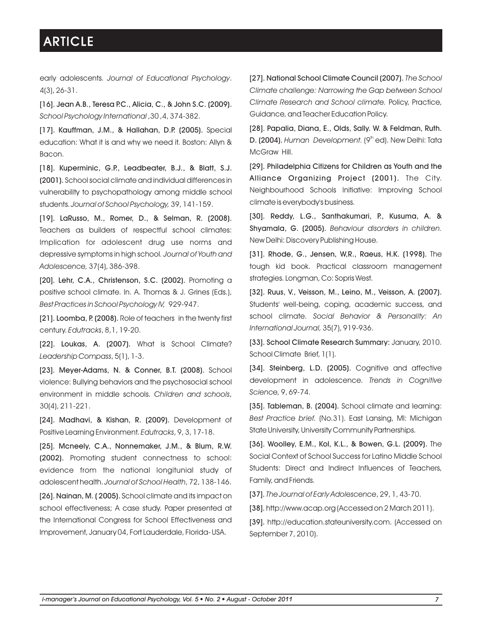early adolescents. *Journal of Educational Psychology*. 4(3), 26-31.

[16]. Jean A.B., Teresa P.C., Alicia, C., & John S.C. (2009). *School Psychology International* ,30 ,4, 374-382.

[17]. Kauffman, J.M., & Hallahan, D.P. (2005). Special education: What it is and why we need it. Boston: Allyn & Bacon.

[18]. Kuperminic, G.P., Leadbeater, B.J., & Blatt, S.J. (2001). School social climate and individual differences in vulnerability to psychopathology among middle school students. *Journal of School Psychology,* 39, 141-159.

[19]. LaRusso, M., Romer, D., & Selman, R. (2008). Teachers as builders of respectful school climates: Implication for adolescent drug use norms and depressive symptoms in high school*. Journal of Youth and Adolescence,* 37(4), 386-398.

[20]. Lehr, C.A., Christenson, S.C. (2002). Promoting a positive school climate. In. A. Thomas & J. Grines (Eds.), *Best Practices in School Psychology IV,* 929-947.

[21]. Loomba, P. (2008). Role of teachers in the twenty first century. *Edutracks*, 8,1, 19-20.

[22]. Loukas, A. (2007). What is School Climate? *Leadership Compass*, 5(1), 1-3.

[23]. Meyer-Adams, N. & Conner, B.T. (2008). School violence: Bullying behaviors and the psychosocial school environment in middle schools. *Children and schools*, 30(4), 211-221.

[24]. Madhavi, & Kishan, R. (2009). Development of Positive Learning Environment. *Edutracks*, 9, 3, 17-18.

[25]. Mcneely, C.A., Nonnemaker, J.M., & Blum, R.W. (2002). Promoting student connectness to school: evidence from the national longitunial study of adolescent health. *Journal of School Health*, 72, 138-146.

[26]. Nainan, M. (2005). School climate and its impact on school effectiveness; A case study. Paper presented at the International Congress for School Effectiveness and Improvement, January 04, Fort Lauderdale, Florida- USA.

[27]. National School Climate Council (2007). *The School Climate challenge: Narrowing the Gap between School Climate Research and School climate.* Policy, Practice, Guidance, and Teacher Education Policy.

[28]. Papalia, Diana, E., Olds, Sally. W. & Feldman, Ruth. D. (2004). *Human Development.* (9<sup>th</sup> ed). New Delhi: Tata McGraw Hill.

[29]. Philadelphia Citizens for Children as Youth and the Alliance Organizing Project (2001). The City. Neighbourhood Schools Initiative: Improving School climate is everybody's business.

[30]. Reddy, L.G., Santhakumari, P., Kusuma, A. & Shyamala, G. (2005). *Behaviour disorders in children.*  New Delhi: Discovery Publishing House.

[31]. Rhode, G., Jensen, W,R., Raeus, H.K. (1998). The tough kid book. Practical classroom management strategies. Longman, Co: Sopris West.

[32]. Ruus, V., Veisson, M., Leino, M., Veisson, A. (2007). Students' well-being, coping, academic success, and school climate. *Social Behavior & Personality: An International Journal,* 35(7), 919-936.

[33]. School Climate Research Summary: January, 2010. School Climate Brief, 1(1).

[34]. Steinberg, L.D. (2005). Cognitive and affective development in adolescence. *Trends in Cognitive Science,* 9, 69-74.

[35]. Tableman, B. (2004). School climate and learning: *Best Practice brief.* (No.31). East Lansing, MI: Michigan State University, University Community Partnerships.

[36]. Woolley, E.M., Kol, K.L., & Bowen, G.L. (2009). The Social Context of School Success for Latino Middle School Students: Direct and Indirect Influences of Teachers, Family, and Friends.

[37].*The Journal of Early Adolescence*, 29, 1, 43-70.

[38]. http://www.acap.org (Accessed on 2 March 2011).

[39]. http://education.stateuniversity.com. (Accessed on September 7, 2010).